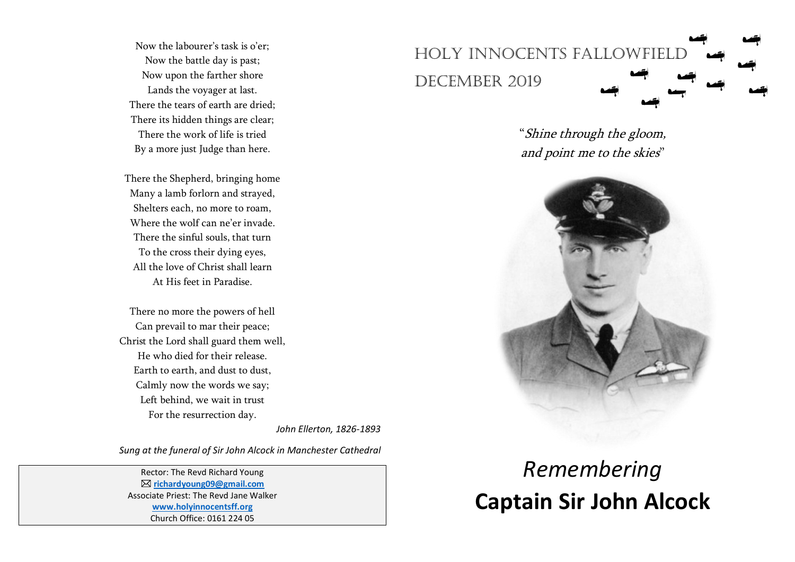Now the labourer's task is o'er; Now the battle day is past; Now upon the farther shore Lands the voyager at last. There the tears of earth are dried; There its hidden things are clear; There the work of life is tried By a more just Judge than here.

There the Shepherd, bringing home Many a lamb forlorn and strayed, Shelters each, no more to roam, Where the wolf can ne'er invade. There the sinful souls, that turn To the cross their dying eyes, All the love of Christ shall learn At His feet in Paradise.

There no more the powers of hell Can prevail to mar their peace; Christ the Lord shall guard them well, He who died for their release. Earth to earth, and dust to dust, Calmly now the words we say; Left behind, we wait in trust For the resurrection day.

*John Ellerton, 1826-1893*

*Sung at the funeral of Sir John Alcock in Manchester Cathedral*

Rector: The Revd Richard Young **[richardyoung09@gmail.com](mailto:richardyoung09@gmail.com)** Associate Priest: The Revd Jane Walker **[www.holyinnocentsff.org](http://www.holyinnocentsff.org/)** Church Office: 0161 224 05



"Shine through the gloom, and point me to the skies"



## *Remembering*  **Captain Sir John Alcock**